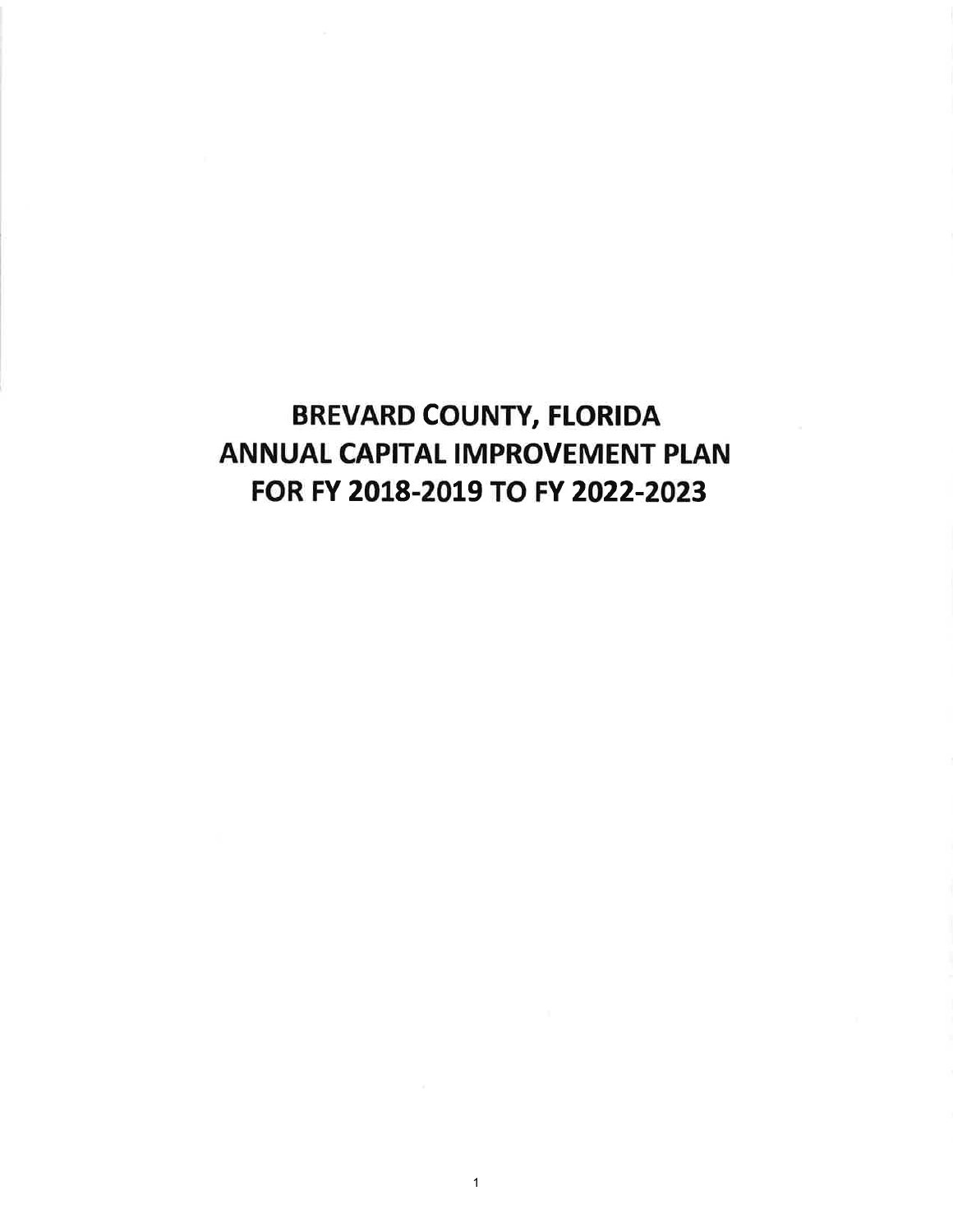# BREVARD COUNTY, FLORIDA ANNUAL CAPITAL IMPROVEMENT PLAN FOR FY 20L8-2019 TO FY 2022-2023

1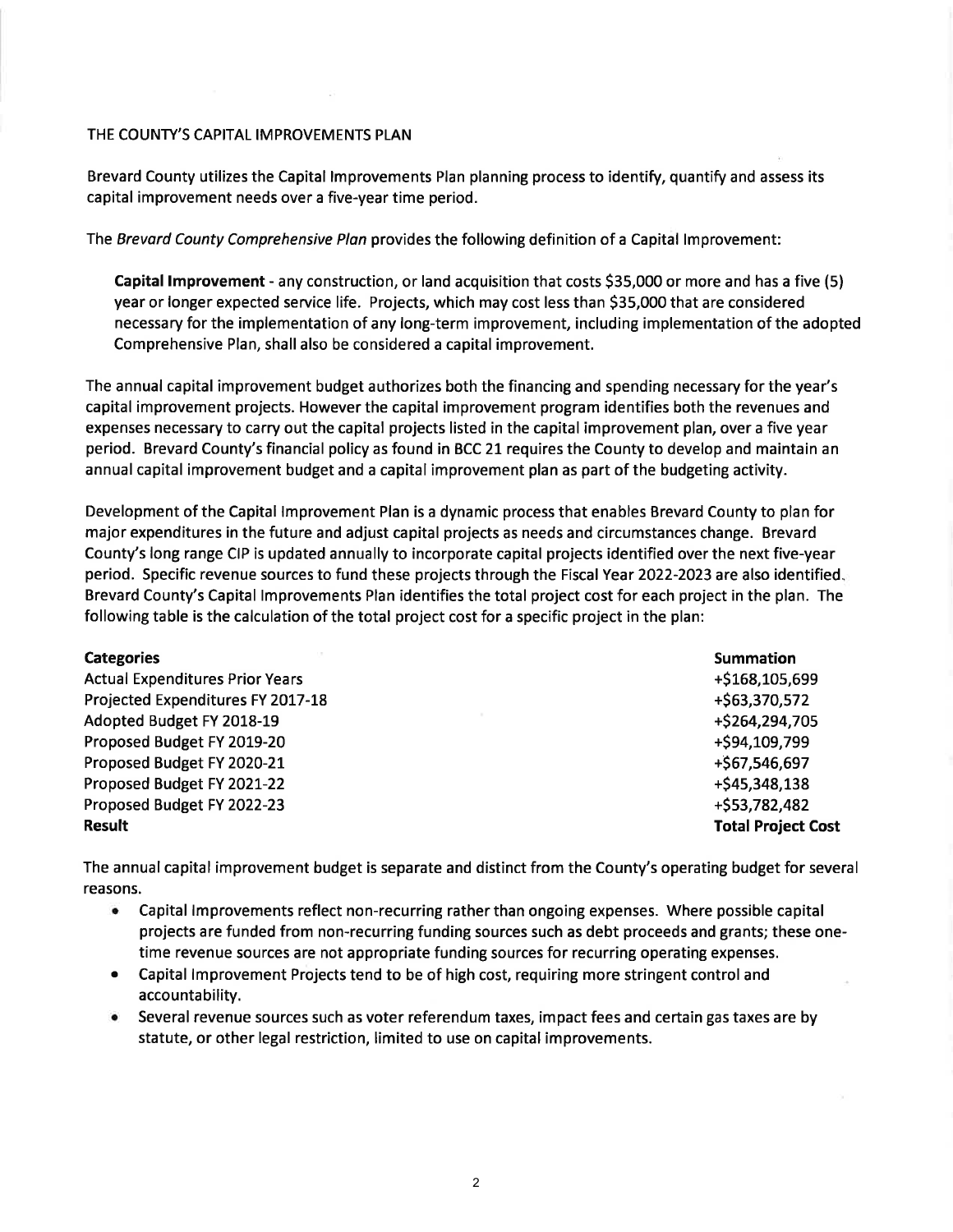#### THE COUNTY'S CAPITAL IMPROVEMENTS PLAN

Brevard County utilizes the Capital lmprovements Plan planning process to identify, quantify and assess its capital improvement needs over a five-year time period.

The Brevard County Comprehensive Plan provides the following definition of a Capital lmprovement:

Capital lmprovement - any construction, or land acquisition that costs \$35,000 or more and has a five (5) year or longer expected service life. Projects, which may cost less than 535,000 that are considered necessary for the implementation of any long-term improvement, including implementation of the adopted Comprehensive Plan, shall also be considered a capital improvement.

The annual capital improvement budget authorizes both the financing and spending necessary for the year's capital improvement projects. However the capital improvement program identifies both the revenues and expenses necessary to carry out the capital projects listed in the capital improvement plan, over a five year period. Brevard County's financial policy as found in BCC 21 requires the County to develop and maintain an annual capital improvement budget and a capital improvement plan as part of the budgeting activity.

Development of the Capital lmprovement Plan is a dynamic process that enables Brevard County to plan for major expenditures in the future and adjust capital projects as needs and circumstances change. Brevard County's long range CIP is updated annually to incorporate capital projects identified over the next five-year period. Specific revenue sources to fund these projects through the Fiscal Year 2022-2023 are also identified. Brevard County's Capital lmprovements Plan identifies the total project cost for each project in the plan. The following table is the calculation of the total project cost for a specific project in the plan:

#### **Categories**

Actual Expenditures Prior Years Projected Expenditures FY 2017-18 Adopted Budget FY 2018-19 Proposed Budget FY 2019-20 Proposed Budget FY 2O20-2L Proposed Budget FY 2021.-22 Proposed Budget FY 2022-23 Result

Summation +\$168,105,699 +\$63,37o,s72 +\$264,294,7O5 +594,LOg,799 +s67,546,697 +S45,348,138 +553,782,482 Total Project Cost

The annual capital improvement budget is separate and distinct from the County's operating budget for several reasons.

- Capital Improvements reflect non-recurring rather than ongoing expenses. Where possible capital projects are funded from non-recurring funding sources such as debt proceeds and grants; these onetime revenue sources are not appropriate funding sources for recurring operating expenses.
- o Capital lmprovement Projects tend to be of high cost, requiring more stringent control and accountability.
- Several revenue sources such as voter referendum taxes, impact fees and certain gas taxes are by statute, or other legal restriction, limited to use on capital improvements.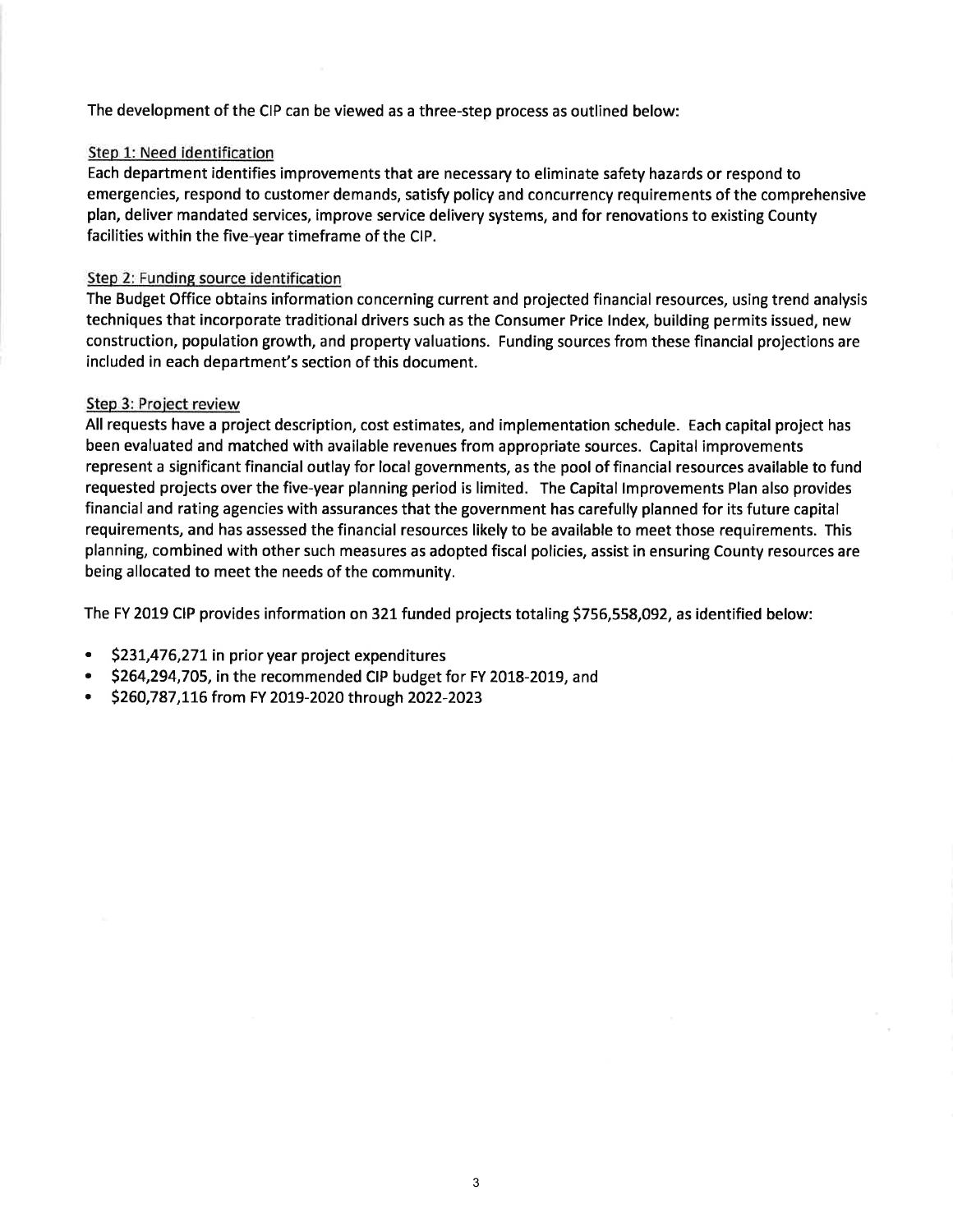The development of the CIP can be viewed as a three-step process as outlined below:

### Step 1: Need identification

Each department identifies improvements that are necessary to eliminate safety hazards or respond to emergencies, respond to customer demands, satisry policy and concurrency requirements of the comprehensive plan, deliver mandated services, improve service delivery systems, and for renovations to existing County facilities within the five-year timeframe of the ClP.

## Step 2: Funding source identification

The Budget Office obtains information concerning current and projected financial resources, using trend analysis techniques that incorporate traditional drivers such as the Consumer Price lndex, building permits issued, new construction, population growth, and property valuations. Funding sources from these financial projections are included in each department's section of this document.

### Step 3: Proiect review

All requests have a project description, cost estimates, and implementation schedule. Each capital project has been evaluated and matched with available revenues from appropriate sources. Capital improvements represent a significant financial outlay for local governments, as the pool of financial resources available to fund requested projects over the five-year planning period is limited. The Capital lmprovements Plan also provides financial and rating agencies with assurances that the government has carefully planned for its future capital requirements, and has assessed the financial resources likely to be available to meet those requirements. This planning, combined with other such measures as adopted fiscal policies, assist in ensuring County resources are being allocated to meet the needs of the community.

The FY 2019 CIP provides information on 321 funded projects totaling 5756,558,092, as identified below:

- . \$237,476,27L in prior year project expenditures
- . \$264,294,705, in the recommended CIP budget for FY 2018-2019, and
- \$260,787,116 from FY 2019-2020 through 2022-2023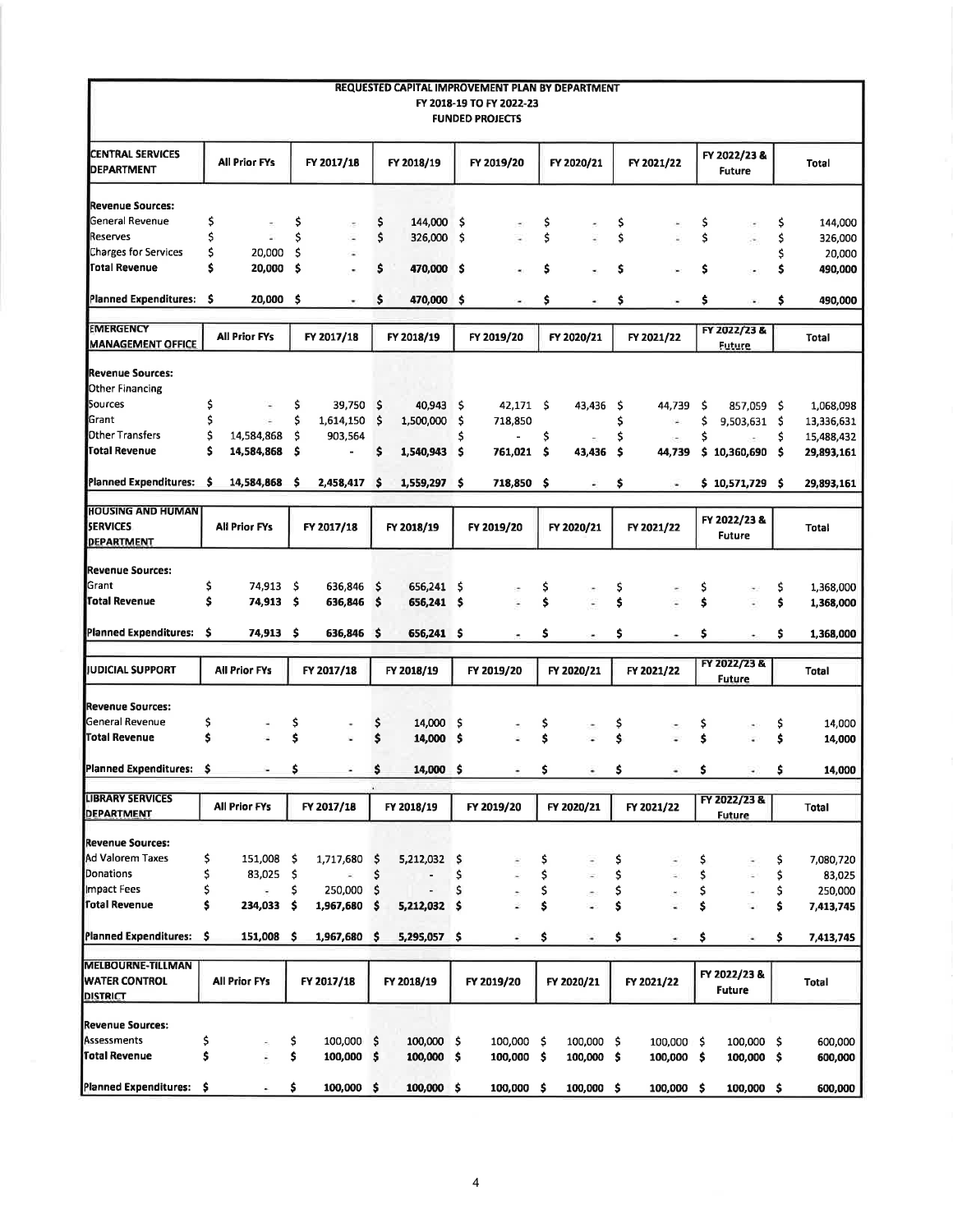|                                              |                      |                    |                     | REQUESTED CAPITAL IMPROVEMENT PLAN BY DEPARTMENT<br>FY 2018-19 TO FY 2022-23<br><b>FUNDED PROJECTS</b> |                               |                 |                               |                   |
|----------------------------------------------|----------------------|--------------------|---------------------|--------------------------------------------------------------------------------------------------------|-------------------------------|-----------------|-------------------------------|-------------------|
| <b>CENTRAL SERVICES</b><br><b>DEPARTMENT</b> | <b>All Prior FYs</b> | FY 2017/18         | FY 2018/19          | FY 2019/20                                                                                             | FY 2020/21                    | FY 2021/22      | FY 2022/23 &<br>Future        | Total             |
| <b>Revenue Sources:</b>                      |                      |                    |                     |                                                                                                        |                               |                 |                               |                   |
| General Revenue                              | \$                   | \$                 | \$<br>144,000       | \$                                                                                                     | \$                            | \$              | \$                            | \$<br>144,000     |
| Reserves                                     | \$                   | \$                 | \$<br>326,000 \$    |                                                                                                        | \$<br>¥                       | \$<br>U,        | \$<br>$\cdot$                 | \$<br>326,000     |
| <b>Charges for Services</b>                  | \$<br>20,000         | \$                 |                     |                                                                                                        |                               |                 |                               | \$<br>20,000      |
| <b>Total Revenue</b>                         | \$<br>20,000         | \$                 | \$<br>470,000 \$    |                                                                                                        | \$<br>$\overline{\mathbf{z}}$ | \$              | \$                            | \$<br>490,000     |
| <b>Planned Expenditures:</b>                 | - \$<br>20,000       | - \$               | \$<br>470,000       | \$                                                                                                     | \$                            | \$              | \$<br>۰                       | \$<br>490,000     |
| <b>EMERGENCY</b>                             |                      |                    |                     |                                                                                                        |                               |                 | FY 2022/23 &                  |                   |
| <b>MANAGEMENT OFFICE</b>                     | <b>All Prior FYs</b> | FY 2017/18         | FY 2018/19          | FY 2019/20                                                                                             | FY 2020/21                    | FY 2021/22      | Future                        | <b>Total</b>      |
| <b>Revenue Sources:</b>                      |                      |                    |                     |                                                                                                        |                               |                 |                               |                   |
| Other Financing                              |                      |                    |                     |                                                                                                        |                               |                 |                               |                   |
| Sources                                      | \$                   | \$<br>39,750       | 40,943<br>- \$      | \$<br>$42,171$ \$                                                                                      | 43,436                        | \$<br>44,739    | \$<br>857,059 \$              | 1,068,098         |
| Grant                                        | \$                   | \$<br>1,614,150 \$ | 1,500,000           | 718,850<br>-\$                                                                                         |                               | \$<br>÷.        | \$<br>9,503,631 \$            | 13,336,631        |
| <b>Other Transfers</b>                       | Ś<br>14,584,868      | \$<br>903,564      |                     | \$                                                                                                     | \$                            | \$<br>×         | \$<br>$\bullet$               | \$<br>15,488,432  |
| <b>Total Revenue</b>                         | \$<br>14,584,868     | \$.                | \$<br>1,540,943     | 761,021 \$<br>-S                                                                                       | 43,436                        | \$<br>44,739    | \$<br>10,360,690 \$           | 29,893,161        |
| Planned Expenditures:                        | \$.<br>14,584,868    | \$<br>2,458,417    | 1,559,297<br>-S     | \$<br>718,850                                                                                          | -\$<br>¥,                     | \$<br>$\ddot{}$ | \$10,571,729                  | 29,893,161<br>- 5 |
| <b>HOUSING AND HUMAN</b><br><b>SERVICES</b>  | <b>All Prior FYs</b> | FY 2017/18         | FY 2018/19          | FY 2019/20                                                                                             | FY 2020/21                    | FY 2021/22      | FY 2022/23 &<br><b>Future</b> | Total             |
| <b>DEPARTMENT</b>                            |                      |                    |                     |                                                                                                        |                               |                 |                               |                   |
| <b>Revenue Sources:</b>                      |                      |                    |                     |                                                                                                        |                               |                 |                               |                   |
| Grant                                        | \$<br>74,913 \$      |                    |                     |                                                                                                        |                               |                 |                               |                   |
| <b>Total Revenue</b>                         | \$                   | 636,846            | -S<br>656,241 \$    |                                                                                                        | \$<br>÷                       | \$              | \$                            | \$<br>1,368,000   |
|                                              | 74,913 \$            | 636,846 \$         | 656,241 \$          |                                                                                                        | \$                            | \$              | \$                            | \$<br>1,368,000   |
| Planned Expenditures:                        | \$<br>74,913 \$      | 636,846 \$         | 656,241 \$          |                                                                                                        | \$                            | \$              | \$                            | 1,368,000<br>\$   |
|                                              |                      |                    |                     |                                                                                                        |                               |                 |                               |                   |
| JUDICIAL SUPPORT                             | <b>All Prior FYs</b> | FY 2017/18         | FY 2018/19          | FY 2019/20                                                                                             | FY 2020/21                    | FY 2021/22      | FY 2022/23 &<br><b>Future</b> | <b>Total</b>      |
|                                              |                      |                    |                     |                                                                                                        |                               |                 |                               |                   |
| <b>Revenue Sources:</b>                      |                      |                    |                     |                                                                                                        |                               |                 |                               |                   |
| General Revenue                              | \$                   | \$                 | 14,000<br>\$        | - 5                                                                                                    | Ş                             | Ş               | Ş                             | 14,000<br>\$      |
| <b>Total Revenue</b>                         | Ś                    | \$                 | Ś<br>14,000 \$      |                                                                                                        |                               | Ś               | \$                            | Ś<br>14,000       |
|                                              |                      |                    |                     |                                                                                                        |                               |                 |                               |                   |
| Planned Expenditures:                        | - \$                 | \$                 | s<br>14,000         | ŝ                                                                                                      | \$                            | \$              | \$                            | 14,000<br>\$      |
| <b>LIBRARY SERVICES</b>                      | <b>All Prior FYs</b> | FY 2017/18         | FY 2018/19          | FY 2019/20                                                                                             | FY 2020/21                    | FY 2021/22      | FY 2022/23 &                  | <b>Total</b>      |
| <b>DEPARTMENT</b>                            |                      |                    |                     |                                                                                                        |                               |                 | <b>Future</b>                 |                   |
| <b>Revenue Sources:</b>                      |                      |                    |                     |                                                                                                        |                               |                 |                               |                   |
| Ad Valorem Taxes                             | \$<br>151,008 \$     | 1,717,680          | \$<br>5,212,032     | - 5                                                                                                    | \$                            | \$              | \$                            | \$<br>7,080,720   |
| Donations                                    | \$<br>83,025         | \$                 | \$                  | \$                                                                                                     | \$                            | \$              | \$                            | \$<br>83,025      |
| Impact Fees                                  | \$                   | \$<br>250,000      | \$.                 | Ś                                                                                                      | \$<br>Š.                      | \$              | \$<br>۰                       | 250,000<br>\$.    |
| <b>Total Revenue</b>                         | \$<br>234,033        | - \$<br>1,967,680  | \$.<br>5,212,032 \$ |                                                                                                        | \$                            |                 | \$                            | \$<br>7,413,745   |
|                                              |                      |                    |                     |                                                                                                        |                               |                 |                               |                   |
| Planned Expenditures:                        | - \$<br>151,008      | -\$<br>1,967,680   | - S<br>5,295,057 \$ |                                                                                                        | \$<br>۰                       | \$<br>٠         | \$                            | \$<br>7,413,745   |
| <b>MELBOURNE-TILLMAN</b>                     |                      |                    |                     |                                                                                                        |                               |                 | FY 2022/23 &                  |                   |
| <b>WATER CONTROL</b>                         | <b>All Prior FYs</b> | FY 2017/18         | FY 2018/19          | FY 2019/20                                                                                             | FY 2020/21                    | FY 2021/22      |                               | Total             |
| <b>DISTRICT</b>                              |                      |                    |                     |                                                                                                        |                               |                 | Future                        |                   |
| <b>Revenue Sources:</b>                      |                      |                    |                     |                                                                                                        |                               |                 |                               |                   |
| <b>Assessments</b>                           | \$                   | \$<br>100,000      | 100,000 \$<br>\$,   | 100,000 \$                                                                                             | 100,000                       | \$<br>100,000   | 100,000 \$<br>-S              | 600,000           |
| <b>Total Revenue</b>                         | \$                   | \$<br>100,000      | 100,000 \$<br>- \$  | 100,000 \$                                                                                             | 100,000                       | -\$<br>100,000  | - \$<br>100,000 \$            | 600,000           |
|                                              |                      |                    |                     |                                                                                                        |                               |                 |                               |                   |
| Planned Expenditures: \$                     |                      | \$<br>100,000 \$   | $100,000$ \$        | 100,000 \$                                                                                             | $100,000 \quad $$             | 100,000 \$      | 100,000 \$                    | 600,000           |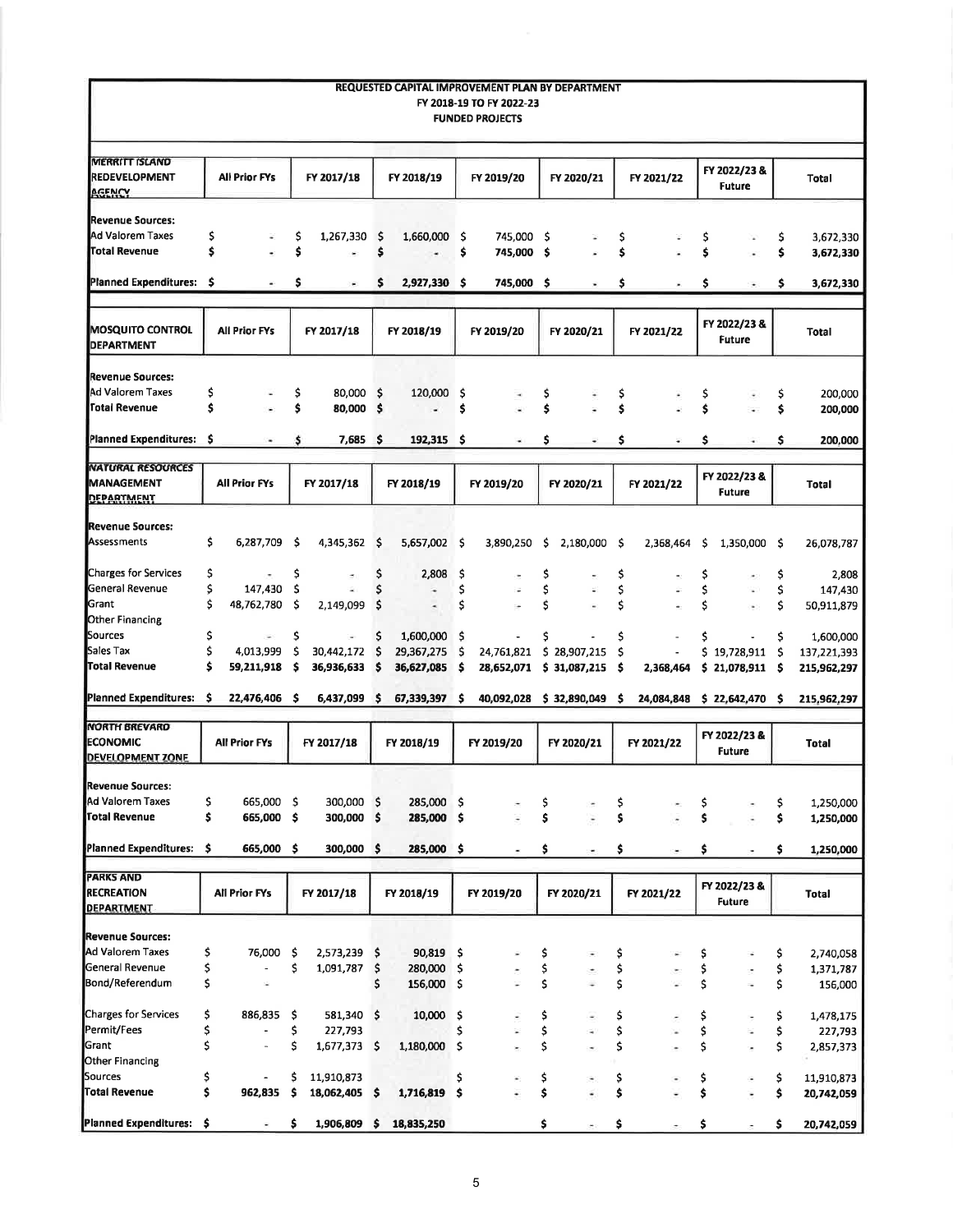## REQUESTED CAPITAL IMPROVEMENT PLAN BY DEPARTMENT FY 2018-19 TO FY 2022-23

**FUNDED PROJECTS** 

| <b>MERRITT ISLAND</b><br><b>REDEVELOPMENT</b><br><b>AGENCY</b> |          | <b>All Prior FYs</b> |          | FY 2017/18            |              | FY 2018/19            |           | FY 2019/20            |          | FY 2020/21   |          | FY 2021/22 |          | FY 2022/23 &<br><b>Future</b> |          | Total                  |
|----------------------------------------------------------------|----------|----------------------|----------|-----------------------|--------------|-----------------------|-----------|-----------------------|----------|--------------|----------|------------|----------|-------------------------------|----------|------------------------|
| <b>Revenue Sources:</b>                                        |          |                      |          |                       |              |                       |           |                       |          |              |          |            |          |                               |          |                        |
| Ad Valorem Taxes<br><b>Total Revenue</b>                       | \$<br>\$ |                      | \$<br>\$ | 1,267,330             | \$<br>S      | 1,660,000             | \$<br>\$  | 745,000<br>745,000 \$ | \$       |              | \$<br>\$ |            | \$<br>\$ |                               | \$<br>\$ | 3,672,330<br>3,672,330 |
| Planned Expenditures: \$                                       |          |                      | Ś        |                       | \$           | 2,927,330 \$          |           | 745,000 \$            |          |              | \$       |            | \$       |                               | \$       | 3,672,330              |
|                                                                |          |                      |          |                       |              |                       |           |                       |          |              |          |            |          |                               |          |                        |
| <b>MOSQUITO CONTROL</b><br><b>DEPARTMENT</b>                   |          | <b>All Prior FYs</b> |          | FY 2017/18            |              | FY 2018/19            |           | FY 2019/20            |          | FY 2020/21   |          | FY 2021/22 |          | FY 2022/23 &<br>Future        |          | Total                  |
| <b>Revenue Sources:</b>                                        |          |                      |          |                       |              |                       |           |                       |          |              |          |            |          |                               |          |                        |
| Ad Valorem Taxes                                               | \$       |                      | \$       | 80,000                | \$           | 120,000               | - \$      |                       | \$       |              | \$       |            | \$       |                               | \$       | 200,000                |
| <b>Total Revenue</b>                                           | \$       |                      | \$       | 80,000                | \$           |                       | \$        |                       | \$       |              | Ś        |            | \$       |                               | \$       | 200,000                |
| Planned Expenditures:                                          | \$.      |                      | \$       | 7,685                 | \$           | 192,315               | - \$      |                       | \$       |              | S        |            | \$       |                               | s        | 200,000                |
| <b>NATURAL RESOURCES</b>                                       |          |                      |          |                       |              |                       |           |                       |          |              |          |            |          |                               |          |                        |
| <b>MANAGEMENT</b><br><b>DEPARTMENT</b>                         |          | <b>All Prior FYs</b> |          | FY 2017/18            |              | FY 2018/19            |           | FY 2019/20            |          | FY 2020/21   |          | FY 2021/22 |          | FY 2022/23 &<br><b>Future</b> |          | Total                  |
|                                                                |          |                      |          |                       |              |                       |           |                       |          |              |          |            |          |                               |          |                        |
| <b>Revenue Sources:</b><br>Assessments                         | \$       | 6,287,709            | \$       | 4,345,362             | -\$          | 5,657,002             | - \$      | 3,890,250             | \$       | 2,180,000    | \$.      | 2,368,464  | \$       | 1,350,000                     | - \$     | 26,078,787             |
| Charges for Services                                           | \$       |                      | \$       |                       | \$           | 2,808                 | \$        |                       | \$       |              | \$       |            | \$       |                               | \$       | 2,808                  |
| General Revenue                                                | \$       | 147,430              | \$       |                       | \$           |                       | \$        |                       | \$       | E)           | \$       |            | \$       |                               | \$       | 147,430                |
| Grant                                                          | \$       | 48,762,780           | \$.      | 2,149,099             | \$           | ٠                     | \$        |                       | \$       |              | Ś        |            | Ś        |                               | \$       | 50,911,879             |
| <b>Other Financing</b>                                         |          |                      |          |                       |              |                       |           |                       |          |              |          |            |          |                               |          |                        |
| Sources                                                        | \$       |                      | \$       |                       | \$           | 1,600,000             | \$        |                       | \$       |              | Ś        |            | \$       |                               | \$       | 1,600,000              |
| Sales Tax                                                      | \$       | 4,013,999            | \$       | 30,442,172            | \$           | 29,367,275            | \$        | 24,761,821            |          | \$28,907,215 | \$       |            |          | \$19,728,911                  | \$       | 137,221,393            |
| <b>Total Revenue</b>                                           | \$       | 59,211,918           | \$       | 36,936,633            | \$           | 36,627,085            | \$        | 28,652,071            |          | \$31,087,215 | s        | 2,368,464  | \$       | 21,078,911                    | \$       | 215,962,297            |
| <b>Planned Expenditures:</b>                                   | \$       | 22,476,406           | \$.      | 6,437,099             | \$           | 67,339,397            | \$        | 40,092,028            |          | \$32,890,049 | \$       | 24,084,848 |          | \$22,642,470                  | \$       | 215,962,297            |
| <b>NORTH BREVARD</b>                                           |          |                      |          |                       |              |                       |           |                       |          |              |          |            |          |                               |          |                        |
| <b>ECONOMIC</b>                                                |          | <b>All Prior FYs</b> |          | FY 2017/18            |              | FY 2018/19            |           | FY 2019/20            |          | FY 2020/21   |          | FY 2021/22 |          | FY 2022/23 &                  |          | <b>Total</b>           |
| <b>DEVELOPMENT ZONE</b>                                        |          |                      |          |                       |              |                       |           |                       |          |              |          |            |          | <b>Future</b>                 |          |                        |
| <b>Revenue Sources:</b>                                        |          |                      |          |                       |              |                       |           |                       |          |              |          |            |          |                               |          |                        |
| Ad Valorem Taxes                                               | \$       | 665,000              | \$       | 300,000               | \$.          | 285,000               | - \$      |                       | \$       |              | \$       |            | \$       |                               | \$       | 1,250,000              |
| Total Revenue                                                  | \$       | 665,000              | S        | 300,000               | -S           | 285,000               | - \$      |                       | \$       | ÷            | \$       |            | \$       |                               | \$       | 1,250,000              |
| Planned Expenditures: \$                                       |          | 665,000 \$           |          | 300,000 \$            |              | 285,000 \$            |           |                       | \$       | ٠            | \$       |            | \$       |                               | \$       | 1,250,000              |
| <b>PARKS AND</b>                                               |          |                      |          |                       |              |                       |           |                       |          |              |          |            |          |                               |          |                        |
| <b>RECREATION</b><br><b>DEPARTMENT</b>                         |          | <b>All Prior FYs</b> |          | FY 2017/18            |              | FY 2018/19            |           | FY 2019/20            |          | FY 2020/21   |          | FY 2021/22 |          | FY 2022/23 &<br><b>Future</b> |          | <b>Total</b>           |
|                                                                |          |                      |          |                       |              |                       |           |                       |          |              |          |            |          |                               |          |                        |
| <b>Revenue Sources:</b>                                        |          |                      |          |                       |              |                       |           |                       |          |              |          |            |          |                               |          |                        |
| Ad Valorem Taxes<br>General Revenue                            | \$<br>\$ | 76,000               | \$<br>\$ | 2,573,239 \$          | \$           | 90,819 \$             |           |                       | \$       |              | \$       |            | \$       |                               | \$       | 2,740,058              |
| Bond/Referendum                                                | \$       |                      |          | 1,091,787             | \$           | 280,000<br>156,000 \$ | \$        |                       | \$<br>\$ |              | \$<br>\$ |            | \$<br>\$ |                               | \$<br>\$ | 1,371,787<br>156,000   |
| Charges for Services                                           |          |                      |          |                       |              |                       |           |                       |          |              |          |            |          |                               |          |                        |
| Permit/Fees                                                    | \$<br>\$ | 886,835              | \$<br>\$ | 581,340 \$<br>227,793 |              | 10,000                | \$,<br>\$ |                       | \$<br>\$ |              | \$<br>\$ |            | \$<br>\$ |                               | \$<br>\$ | 1,478,175<br>227,793   |
| Grant                                                          | \$       |                      | \$       | $1,677,373$ \$        |              | 1,180,000 \$          |           |                       | \$       |              | \$       |            | \$       |                               | \$       | 2,857,373              |
| Other Financing                                                |          |                      |          |                       |              |                       |           |                       |          |              |          |            |          |                               |          |                        |
| Sources                                                        | \$       |                      | \$       | 11,910,873            |              |                       | \$        |                       | \$       |              | \$       |            | \$       |                               | \$       | 11,910,873             |
| Total Revenue                                                  | \$       | 962,835              | - S      | 18,062,405 \$         |              | 1,716,819 \$          |           |                       | \$       |              | \$       |            | \$       |                               | \$       | 20,742,059             |
| <b>Planned Expenditures:</b>                                   | - S      |                      | \$       | 1,906,809             | $\mathbf{s}$ | 18,835,250            |           |                       | \$       |              | \$       |            | \$       |                               | \$       | 20,742,059             |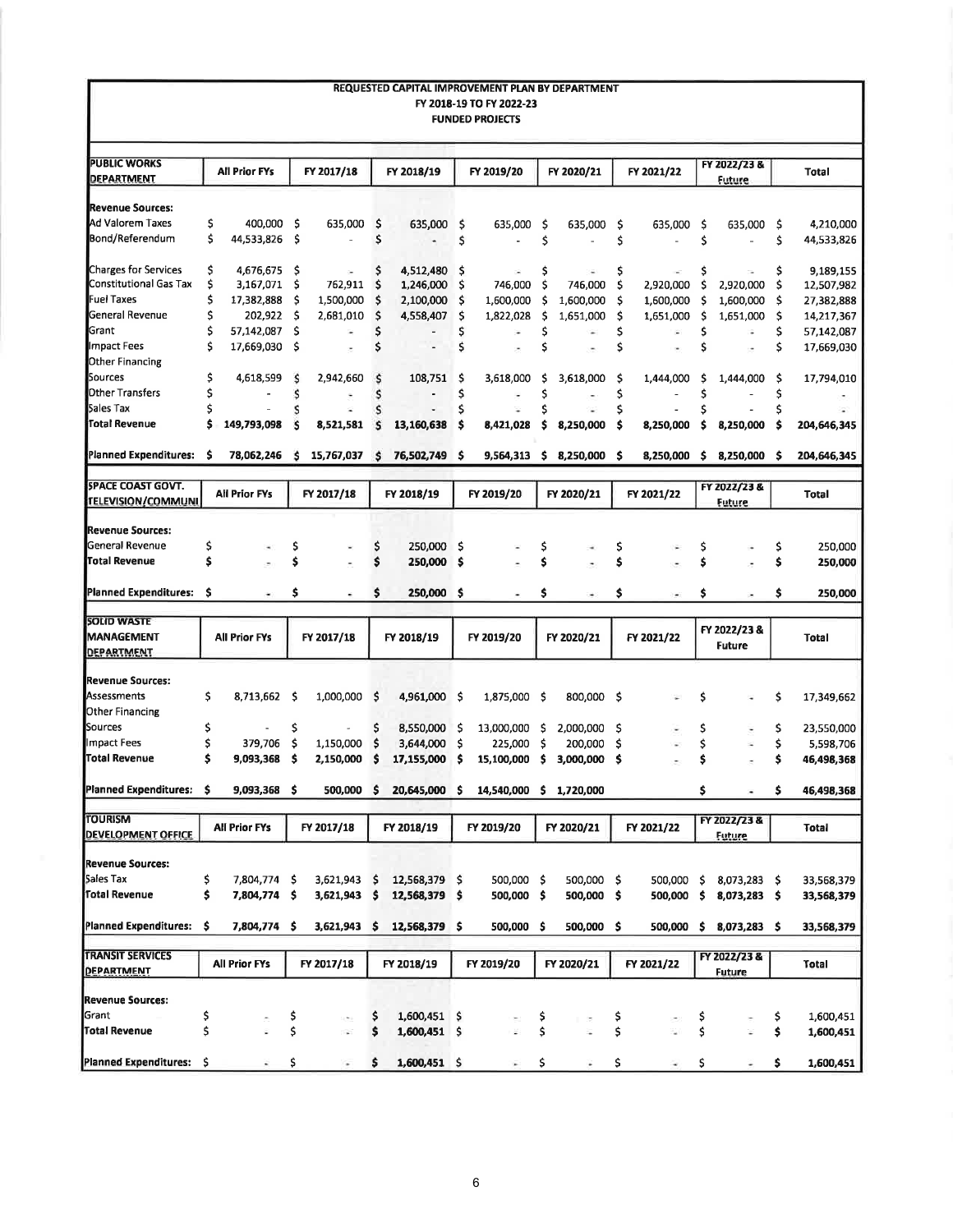# REQUESTED CAPITAL IMPROVEMENT PLAN BY DEPARTMENT FY 2018-19 TO FY 2022-23

**FUNDED PROJECTS** 

| <b>PUBLIC WORKS</b><br><b>DEPARTMENT</b>              |     | <b>All Prior FYs</b> |     | FY 2017/18     |     | FY 2018/19                     |      | FY 2019/20   |    | FY 2020/21  |    | FY 2021/22 |    | FY 2022/23 &<br>Future  |    | Total        |
|-------------------------------------------------------|-----|----------------------|-----|----------------|-----|--------------------------------|------|--------------|----|-------------|----|------------|----|-------------------------|----|--------------|
|                                                       |     |                      |     |                |     |                                |      |              |    |             |    |            |    |                         |    |              |
| <b>Revenue Sources:</b>                               |     |                      |     |                |     |                                |      |              |    |             |    |            |    |                         |    |              |
| Ad Valorem Taxes                                      | \$  | 400,000              | \$  | 635,000        | \$  | 635,000                        | \$   | 635,000      | \$ | 635,000     | \$ | 635,000    | \$ | 635,000                 | \$ | 4,210,000    |
| Bond/Referendum                                       | \$  | 44,533,826           | \$  |                | \$  |                                | \$   |              | \$ |             | Ś  |            | Ś  |                         | \$ | 44,533,826   |
| <b>Charges for Services</b>                           | \$  | 4,676,675            | \$  |                | \$  | 4,512,480                      | \$   |              | \$ |             | \$ |            | s  |                         | \$ | 9,189,155    |
| Constitutional Gas Tax                                | \$  | 3,167,071            | \$  | 762,911        | \$  | 1,246,000                      | \$   | 746,000      | \$ | 746,000     | \$ | 2,920,000  | \$ | 2,920,000               | \$ | 12,507,982   |
| <b>Fuel Taxes</b>                                     | \$  | 17,382,888           | \$. | 1,500,000      | \$  | 2,100,000                      | \$.  | 1,600,000    | s  | 1,600,000   | \$ | 1,600,000  | \$ | 1,600,000               | \$ | 27,382,888   |
| General Revenue                                       | \$  | 202,922              | \$, | 2,681,010      | S   | 4,558,407                      | \$   | 1,822,028    | \$ | 1,651,000   | s  | 1,651,000  | \$ | 1,651,000               | \$ | 14,217,367   |
| Grant                                                 | \$  | 57,142,087           | \$  |                | S   |                                | \$   |              | Ś  |             | \$ |            | \$ |                         | \$ | 57,142,087   |
| Impact Fees                                           | Ś   | 17,669,030           | \$, |                |     |                                | Ś    |              |    |             | \$ |            | Ś  |                         | \$ | 17,669,030   |
| <b>Other Financing</b>                                |     |                      |     |                |     |                                |      |              |    |             |    |            |    |                         |    |              |
| Sources                                               | \$  | 4,618,599            | s   | 2,942,660      | S   | 108,751                        | \$   | 3,618,000    | Ś  | 3,618,000   | S  | 1,444,000  | \$ | 1,444,000               | \$ | 17,794,010   |
| <b>Other Transfers</b>                                | Ś   |                      |     |                |     |                                | \$   |              | S  |             | \$ |            | Ś  |                         | \$ |              |
| Sales Tax                                             |     |                      |     |                |     |                                | \$   |              |    |             | S  |            |    |                         |    |              |
| <b>Total Revenue</b>                                  | \$  | 149,793,098          | S   | 8,521,581      | s   | 13,160,638                     | \$   | 8,421,028    | \$ | 8,250,000   | \$ | 8,250,000  | \$ | 8,250,000               | \$ | 204,646,345  |
| Planned Expenditures:                                 | s   | 78,062,246           | \$  | 15,767,037     | s   | 76,502,749                     | - 5  | 9,564,313    |    | \$8,250,000 | -S | 8,250,000  | \$ | 8,250,000               | -S | 204,646,345  |
|                                                       |     |                      |     |                |     |                                |      |              |    |             |    |            |    |                         |    |              |
| <b>SPACE COAST GOVT.</b><br><b>TELEVISION/COMMUNI</b> |     | <b>All Prior FYs</b> |     | FY 2017/18     |     | FY 2018/19                     |      | FY 2019/20   |    | FY 2020/21  |    | FY 2021/22 |    | FY 2022/23 &            |    | <b>Total</b> |
|                                                       |     |                      |     |                |     |                                |      |              |    |             |    |            |    | Future                  |    |              |
| <b>Revenue Sources:</b>                               |     |                      |     |                |     |                                |      |              |    |             |    |            |    |                         |    |              |
| General Revenue                                       | \$  |                      | Ś   |                | \$  | 250,000                        | \$   |              | \$ |             | \$ |            | \$ |                         | \$ | 250,000      |
| <b>Total Revenue</b>                                  | \$  |                      |     |                | Ś   | 250,000                        | - \$ |              | \$ |             | \$ |            | \$ |                         | \$ | 250,000      |
|                                                       |     |                      |     |                |     |                                |      |              |    |             |    |            |    |                         |    |              |
| <b>Planned Expenditures:</b>                          | \$  |                      | Ś   |                | \$  | 250,000                        | \$   |              | \$ |             | Ś  |            | \$ |                         | \$ | 250,000      |
| <b>SOLID WASTE</b>                                    |     |                      |     |                |     |                                |      |              |    |             |    |            |    |                         |    |              |
| <b>MANAGEMENT</b>                                     |     | <b>All Prior FYs</b> |     | FY 2017/18     |     | FY 2018/19                     |      | FY 2019/20   |    | FY 2020/21  |    | FY 2021/22 |    | FY 2022/23 &            |    | Total        |
| <b>DEPARTMENT</b>                                     |     |                      |     |                |     |                                |      |              |    |             |    |            |    | <b>Future</b>           |    |              |
|                                                       |     |                      |     |                |     |                                |      |              |    |             |    |            |    |                         |    |              |
| <b>Revenue Sources:</b>                               |     |                      |     |                |     |                                |      |              |    |             |    |            |    |                         |    |              |
| Assessments                                           | \$  | 8,713,662            | - 5 | 1,000,000      | \$. | 4,961,000                      | - \$ | 1,875,000 \$ |    | 800,000 \$  |    |            | Ś  |                         | \$ | 17,349,662   |
| <b>Other Financing</b><br>Sources                     |     |                      |     |                |     |                                |      |              |    |             |    |            |    |                         |    |              |
|                                                       | \$  |                      | \$  |                | \$  | 8,550,000                      | \$,  | 13,000,000   | Ş  | 2,000,000   | \$ |            | \$ |                         | \$ | 23,550,000   |
| Impact Fees                                           | \$  | 379,706              | \$  | 1,150,000      | \$  | 3,644,000                      | \$   | 225,000      | \$ | 200,000     | \$ |            | \$ |                         | \$ | 5,598,706    |
| <b>Total Revenue</b>                                  | \$  | 9,093,368            | \$  | 2,150,000      | \$  | 17,155,000                     | \$   | 15,100,000   | \$ | 3,000,000   | \$ |            |    |                         | \$ | 46,498,368   |
| <b>Planned Expenditures:</b>                          | \$  | 9,093,368            | \$  | 500,000        | \$  | 20,645,000                     | s    | 14,540,000   |    | \$1,720,000 |    |            | \$ |                         | s  | 46,498,368   |
| <b>TOURISM</b>                                        |     |                      |     |                |     |                                |      |              |    |             |    |            |    |                         |    |              |
| <b>DEVELOPMENT OFFICE</b>                             |     | <b>All Prior FYs</b> |     | FY 2017/18     |     | FY 2018/19                     |      | FY 2019/20   |    | FY 2020/21  |    | FY 2021/22 |    | FY 2022/23 &<br>Future  |    | Total        |
| Revenue Sources:                                      |     |                      |     |                |     |                                |      |              |    |             |    |            |    |                         |    |              |
| Sales Tax                                             | \$. | 7,804,774 \$         |     | $3,621,943$ \$ |     |                                |      |              |    |             |    |            |    | 500,000 \$ 8,073,283 \$ |    |              |
| Total Revenue                                         | \$  | 7,804,774 \$         |     | $3,621,943$ \$ |     | 12,568,379 \$<br>12,568,379 \$ |      | 500,000 \$   |    | 500,000 \$  |    |            |    |                         |    | 33,568,379   |
|                                                       |     |                      |     |                |     |                                |      | 500,000 \$   |    | 500,000 \$  |    |            |    | 500,000 \$ 8,073,283 \$ |    | 33,568,379   |
| Planned Expenditures: \$                              |     | 7,804,774 \$         |     |                |     | 3,621,943 \$ 12,568,379 \$     |      | 500,000 \$   |    | 500,000 \$  |    | 500,000    |    | $$8,073,283$ \$         |    | 33,568,379   |
| <b>TRANSIT SERVICES</b>                               |     |                      |     |                |     |                                |      |              |    |             |    |            |    | FY 2022/23 &            |    |              |
| <b>DEPARTMENT</b>                                     |     | <b>All Prior FYs</b> |     | FY 2017/18     |     | FY 2018/19                     |      | FY 2019/20   |    | FY 2020/21  |    | FY 2021/22 |    | <b>Future</b>           |    | Total        |
|                                                       |     |                      |     |                |     |                                |      |              |    |             |    |            |    |                         |    |              |
| <b>Revenue Sources:</b>                               |     |                      |     |                |     |                                |      |              |    |             |    |            |    |                         |    |              |
| Grant                                                 | \$  |                      | \$  | U.             | \$. | 1,600,451 \$                   |      |              | \$ |             | Ş  |            | Ş  |                         | \$ | 1,600,451    |
| <b>Total Revenue</b>                                  | \$  |                      | \$  |                | \$  | 1,600,451 \$                   |      |              | \$ |             | Ś  |            |    |                         | Ś  | 1,600,451    |
| Planned Expenditures: \$                              |     |                      | \$. | $\bullet$      |     | 1,600,451 \$                   |      |              | \$ |             | \$ |            | \$ |                         |    | 1,600,451    |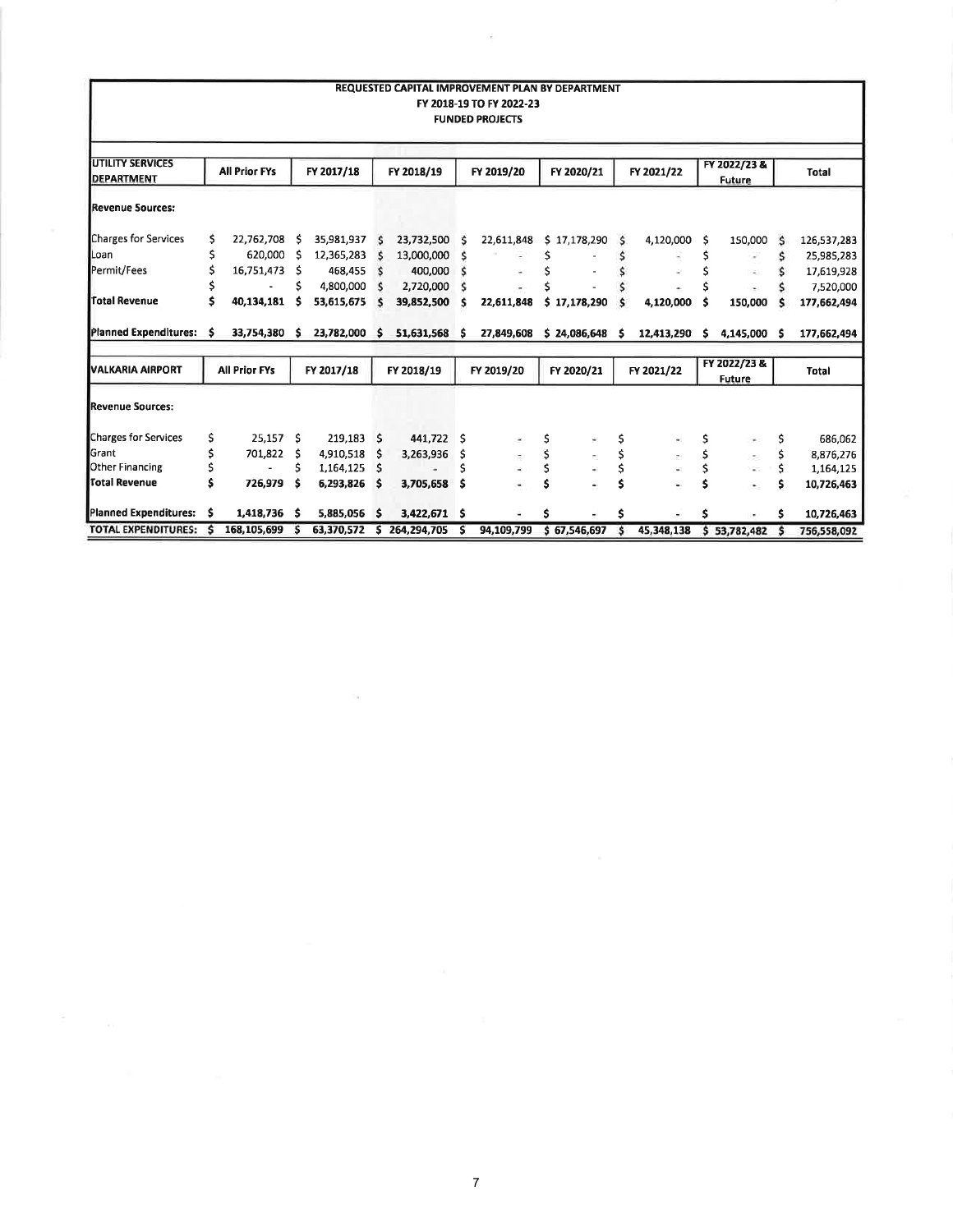| REQUESTED CAPITAL IMPROVEMENT PLAN BY DEPARTMENT<br>FY 2018-19 TO FY 2022-23<br><b>FUNDED PROJECTS</b> |                      |                      |            |              |      |              |    |            |    |              |    |                               |    |                               |              |              |
|--------------------------------------------------------------------------------------------------------|----------------------|----------------------|------------|--------------|------|--------------|----|------------|----|--------------|----|-------------------------------|----|-------------------------------|--------------|--------------|
| UTILITY SERVICES                                                                                       |                      |                      |            |              |      |              |    |            |    |              |    |                               |    |                               |              |              |
| <b>DEPARTMENT</b>                                                                                      |                      | <b>All Prior FYs</b> |            | FY 2017/18   |      | FY 2018/19   |    | FY 2019/20 |    | FY 2020/21   |    | FY 2021/22                    |    | FY 2022/23 &<br><b>Future</b> |              | <b>Total</b> |
| <b>Revenue Sources:</b>                                                                                |                      |                      |            |              |      |              |    |            |    |              |    |                               |    |                               |              |              |
| <b>Charges for Services</b>                                                                            | \$                   | 22,762,708           | Ś          | 35,981,937   | s    | 23,732,500   | Ŝ  | 22,611,848 |    | \$17,178,290 | s  | 4,120,000                     | Ś  | 150,000                       | s            | 126,537,283  |
| Loan                                                                                                   |                      | 620,000              | s          | 12,365,283   | S    | 13,000,000   |    |            |    |              |    |                               |    |                               |              | 25,985,283   |
| Permit/Fees                                                                                            |                      | 16,751,473           | Ŝ          | 468.455      | \$   | 400,000      |    |            |    |              |    |                               |    |                               |              | 17,619,928   |
|                                                                                                        |                      |                      | S          | 4,800,000    | s    | 2,720,000    |    |            |    |              |    |                               |    |                               |              | 7,520,000    |
| <b>Total Revenue</b>                                                                                   |                      | 40,134,181           |            | 53,615,675   | Ŝ    | 39,852,500   |    | 22,611,848 | \$ | 17,178,290   | Ŝ  | 4,120,000                     | Ŝ  | 150,000                       |              | 177,662,494  |
| Planned Expenditures:                                                                                  | s                    | 33,754,380           | s          | 23,782,000   | s    | 51,631,568   | s  | 27,849,608 |    | \$24,086,648 | s  | 12,413,290                    | s  | 4,145,000 \$                  |              | 177,662,494  |
| <b>VALKARIA AIRPORT</b>                                                                                | <b>All Prior FYs</b> |                      | FY 2017/18 | FY 2018/19   |      | FY 2019/20   |    | FY 2020/21 |    | FY 2021/22   |    | FY 2022/23 &<br><b>Future</b> |    |                               | <b>Total</b> |              |
| <b>Revenue Sources:</b>                                                                                |                      |                      |            |              |      |              |    |            |    |              |    |                               |    |                               |              |              |
| <b>Charges for Services</b>                                                                            | \$                   | 25,157               | -S         | 219,183      | - \$ | 441,722      | Ŝ  |            | Ś  |              | \$ |                               | s  |                               | s            | 686,062      |
| <b>Grant</b>                                                                                           | \$                   | 701,822              | S          | 4,910,518    | \$   | 3,263,936    | Ś  | Ė.         | \$ |              | \$ |                               | \$ |                               | \$           | 8,876,276    |
| <b>Other Financing</b>                                                                                 |                      |                      | Ś          | 1,164,125    | \$   |              |    |            | Ś  |              |    |                               | Ś  | $\sim$                        | Ś.           | 1,164,125    |
| <b>Total Revenue</b>                                                                                   | \$                   | 726.979              | s          | 6,293,826    | ŝ    | 3,705,658    | \$ |            | \$ |              |    |                               |    |                               | s            | 10,726,463   |
| Planned Expenditures:                                                                                  | s.                   | 1,418,736 \$         |            | 5,885,056 \$ |      | 3,422,671 \$ |    |            | \$ |              | \$ |                               | \$ |                               | Ś            | 10,726,463   |
| <b>TOTAL EXPENDITURES:</b>                                                                             |                      | 168,105,699          | s          | 63,370,572   |      | 264,294,705  |    | 94,109,799 |    | \$67,546,697 | s  | 45,348,138                    |    | \$53,782,482                  | s            | 756,558,092  |

 $\sim$ 

 $\overline{\gamma}$